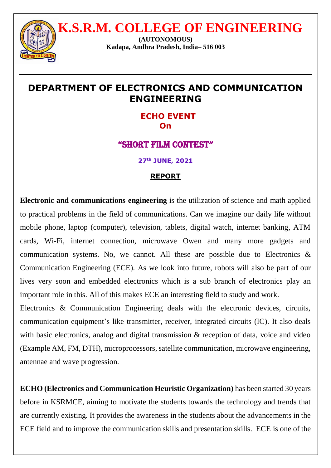

 **K.S.R.M. COLLEGE OF ENGINEERING**

**(AUTONOMOUS) Kadapa, Andhra Pradesh, India– 516 003**

# **DEPARTMENT OF ELECTRONICS AND COMMUNICATION ENGINEERING**

 **ECHO EVENT On**

## "SHORT FILM CONTEST"

**27 th JUNE, 2021** 

## **REPORT**

**Electronic and communications engineering** is the utilization of science and math applied to practical problems in the field of communications. Can we imagine our daily life without mobile phone, laptop (computer), television, tablets, digital watch, internet banking, ATM cards, Wi-Fi, internet connection, microwave Owen and many more gadgets and communication systems. No, we cannot. All these are possible due to Electronics  $\&$ Communication Engineering (ECE). As we look into future, robots will also be part of our lives very soon and embedded electronics which is a sub branch of electronics play an important role in this. All of this makes ECE an interesting field to study and work.

Electronics & Communication Engineering deals with the electronic devices, circuits, communication equipment's like transmitter, receiver, integrated circuits (IC). It also deals with basic electronics, analog and digital transmission & reception of data, voice and video (Example AM, FM, DTH), microprocessors, satellite communication, microwave engineering, antennae and wave progression.

**ECHO (Electronics and Communication Heuristic Organization)** has been started 30 years before in KSRMCE, aiming to motivate the students towards the technology and trends that are currently existing. It provides the awareness in the students about the advancements in the ECE field and to improve the communication skills and presentation skills. ECE is one of the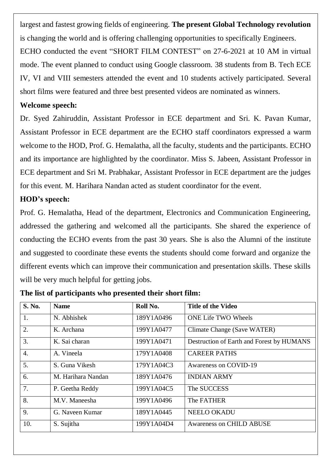largest and fastest growing fields of engineering. **The present Global Technology revolution**  is changing the world and is offering challenging opportunities to specifically Engineers. ECHO conducted the event "SHORT FILM CONTEST" on 27-6-2021 at 10 AM in virtual mode. The event planned to conduct using Google classroom. 38 students from B. Tech ECE IV, VI and VIII semesters attended the event and 10 students actively participated. Several

short films were featured and three best presented videos are nominated as winners.

#### **Welcome speech:**

Dr. Syed Zahiruddin, Assistant Professor in ECE department and Sri. K. Pavan Kumar, Assistant Professor in ECE department are the ECHO staff coordinators expressed a warm welcome to the HOD, Prof. G. Hemalatha, all the faculty, students and the participants. ECHO and its importance are highlighted by the coordinator. Miss S. Jabeen, Assistant Professor in ECE department and Sri M. Prabhakar, Assistant Professor in ECE department are the judges for this event. M. Harihara Nandan acted as student coordinator for the event.

### **HOD's speech:**

Prof. G. Hemalatha, Head of the department, Electronics and Communication Engineering, addressed the gathering and welcomed all the participants. She shared the experience of conducting the ECHO events from the past 30 years. She is also the Alumni of the institute and suggested to coordinate these events the students should come forward and organize the different events which can improve their communication and presentation skills. These skills will be very much helpful for getting jobs.

| <b>S. No.</b>    | <b>Name</b>        | Roll No.   | <b>Title of the Video</b>                 |
|------------------|--------------------|------------|-------------------------------------------|
| 1.               | N. Abhishek        | 189Y1A0496 | <b>ONE Life TWO Wheels</b>                |
| 2.               | K. Archana         | 199Y1A0477 | Climate Change (Save WATER)               |
| 3.               | K. Sai charan      | 199Y1A0471 | Destruction of Earth and Forest by HUMANS |
| $\overline{4}$ . | A. Vineela         | 179Y1A0408 | <b>CAREER PATHS</b>                       |
| 5.               | S. Guna Vikesh     | 179Y1A04C3 | Awareness on COVID-19                     |
| 6.               | M. Harihara Nandan | 189Y1A0476 | <b>INDIAN ARMY</b>                        |
| 7.               | P. Geetha Reddy    | 199Y1A04C5 | The SUCCESS                               |
| 8.               | M.V. Maneesha      | 199Y1A0496 | The FATHER                                |
| 9.               | G. Naveen Kumar    | 189Y1A0445 | <b>NEELO OKADU</b>                        |
| 10.              | S. Sujitha         | 199Y1A04D4 | Awareness on CHILD ABUSE                  |

**The list of participants who presented their short film:**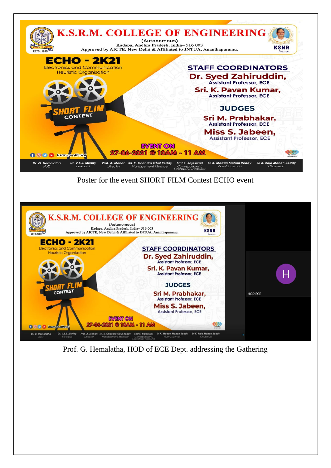

Poster for the event SHORT FILM Contest ECHO event



Prof. G. Hemalatha, HOD of ECE Dept. addressing the Gathering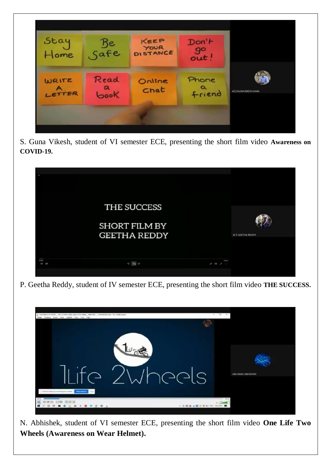

S. Guna Vikesh, student of VI semester ECE, presenting the short film video **Awareness on COVID-19.**



P. Geetha Reddy, student of IV semester ECE, presenting the short film video **THE SUCCESS.**



N. Abhishek, student of VI semester ECE, presenting the short film video **One Life Two Wheels (Awareness on Wear Helmet).**